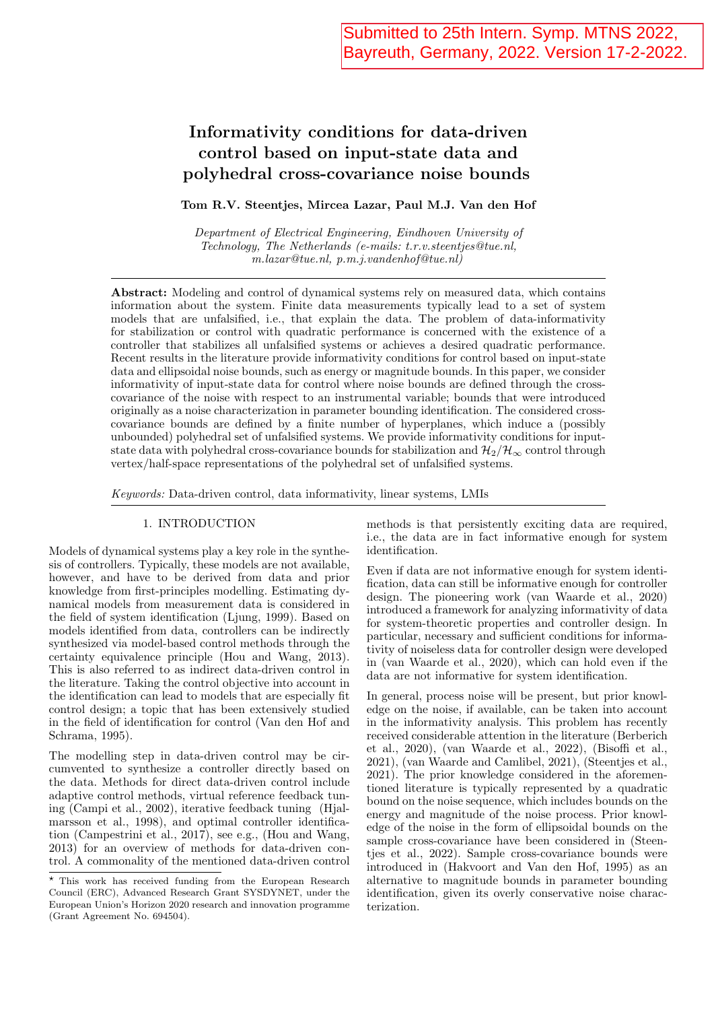# Informativity conditions for data-driven control based on input-state data and polyhedral cross-covariance noise bounds

Tom R.V. Steentjes, Mircea Lazar, Paul M.J. Van den Hof

Department of Electrical Engineering, Eindhoven University of Technology, The Netherlands (e-mails: t.r.v.steentjes@tue.nl, m.lazar@tue.nl, p.m.j.vandenhof@tue.nl)

Abstract: Modeling and control of dynamical systems rely on measured data, which contains information about the system. Finite data measurements typically lead to a set of system models that are unfalsified, i.e., that explain the data. The problem of data-informativity for stabilization or control with quadratic performance is concerned with the existence of a controller that stabilizes all unfalsified systems or achieves a desired quadratic performance. Recent results in the literature provide informativity conditions for control based on input-state data and ellipsoidal noise bounds, such as energy or magnitude bounds. In this paper, we consider informativity of input-state data for control where noise bounds are defined through the crosscovariance of the noise with respect to an instrumental variable; bounds that were introduced originally as a noise characterization in parameter bounding identification. The considered crosscovariance bounds are defined by a finite number of hyperplanes, which induce a (possibly unbounded) polyhedral set of unfalsified systems. We provide informativity conditions for inputstate data with polyhedral cross-covariance bounds for stabilization and  $\mathcal{H}_2/\mathcal{H}_{\infty}$  control through vertex/half-space representations of the polyhedral set of unfalsified systems.

Keywords: Data-driven control, data informativity, linear systems, LMIs

### 1. INTRODUCTION

Models of dynamical systems play a key role in the synthesis of controllers. Typically, these models are not available, however, and have to be derived from data and prior knowledge from first-principles modelling. Estimating dynamical models from measurement data is considered in the field of system identification (Ljung, 1999). Based on models identified from data, controllers can be indirectly synthesized via model-based control methods through the certainty equivalence principle (Hou and Wang, 2013). This is also referred to as indirect data-driven control in the literature. Taking the control objective into account in the identification can lead to models that are especially fit control design; a topic that has been extensively studied in the field of identification for control (Van den Hof and Schrama, 1995).

The modelling step in data-driven control may be circumvented to synthesize a controller directly based on the data. Methods for direct data-driven control include adaptive control methods, virtual reference feedback tuning (Campi et al., 2002), iterative feedback tuning (Hjalmarsson et al., 1998), and optimal controller identification (Campestrini et al., 2017), see e.g., (Hou and Wang, 2013) for an overview of methods for data-driven control. A commonality of the mentioned data-driven control methods is that persistently exciting data are required, i.e., the data are in fact informative enough for system identification.

Even if data are not informative enough for system identification, data can still be informative enough for controller design. The pioneering work (van Waarde et al., 2020) introduced a framework for analyzing informativity of data for system-theoretic properties and controller design. In particular, necessary and sufficient conditions for informativity of noiseless data for controller design were developed in (van Waarde et al., 2020), which can hold even if the data are not informative for system identification.

In general, process noise will be present, but prior knowledge on the noise, if available, can be taken into account in the informativity analysis. This problem has recently received considerable attention in the literature (Berberich et al., 2020), (van Waarde et al., 2022), (Bisoffi et al., 2021), (van Waarde and Camlibel, 2021), (Steentjes et al., 2021). The prior knowledge considered in the aforementioned literature is typically represented by a quadratic bound on the noise sequence, which includes bounds on the energy and magnitude of the noise process. Prior knowledge of the noise in the form of ellipsoidal bounds on the sample cross-covariance have been considered in (Steentjes et al., 2022). Sample cross-covariance bounds were introduced in (Hakvoort and Van den Hof, 1995) as an alternative to magnitude bounds in parameter bounding identification, given its overly conservative noise characterization.

 $^\star$  This work has received funding from the European Research Council (ERC), Advanced Research Grant SYSDYNET, under the European Union's Horizon 2020 research and innovation programme (Grant Agreement No. 694504).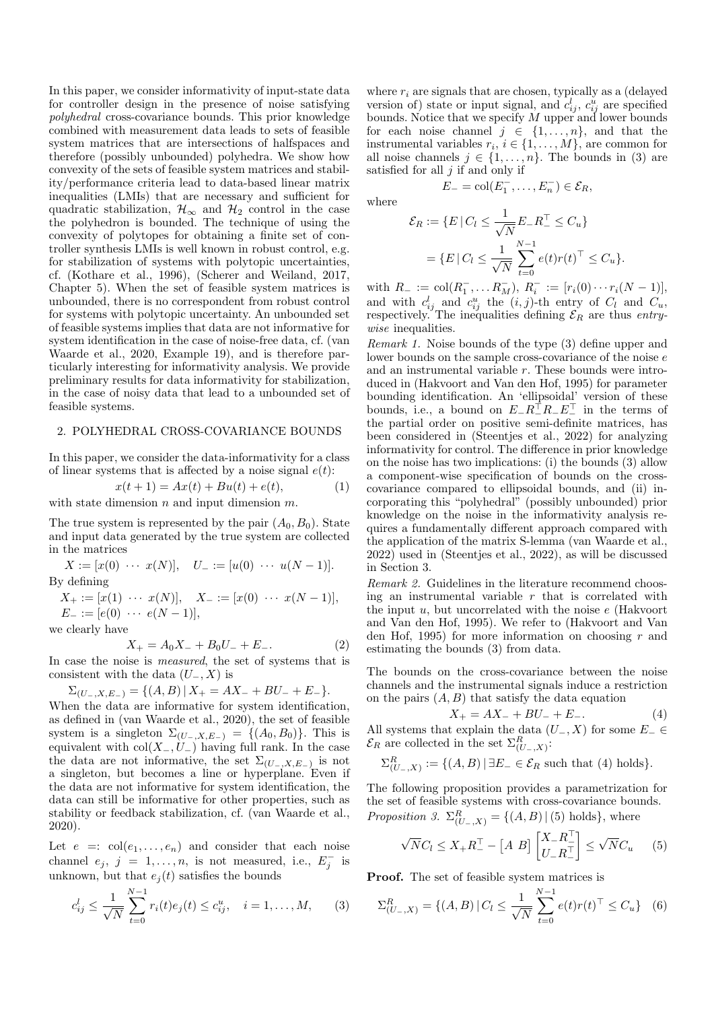In this paper, we consider informativity of input-state data for controller design in the presence of noise satisfying polyhedral cross-covariance bounds. This prior knowledge combined with measurement data leads to sets of feasible system matrices that are intersections of halfspaces and therefore (possibly unbounded) polyhedra. We show how convexity of the sets of feasible system matrices and stability/performance criteria lead to data-based linear matrix inequalities (LMIs) that are necessary and sufficient for quadratic stabilization,  $\mathcal{H}_{\infty}$  and  $\mathcal{H}_{2}$  control in the case the polyhedron is bounded. The technique of using the convexity of polytopes for obtaining a finite set of controller synthesis LMIs is well known in robust control, e.g. for stabilization of systems with polytopic uncertainties, cf. (Kothare et al., 1996), (Scherer and Weiland, 2017, Chapter 5). When the set of feasible system matrices is unbounded, there is no correspondent from robust control for systems with polytopic uncertainty. An unbounded set of feasible systems implies that data are not informative for system identification in the case of noise-free data, cf. (van Waarde et al., 2020, Example 19), and is therefore particularly interesting for informativity analysis. We provide preliminary results for data informativity for stabilization, in the case of noisy data that lead to a unbounded set of feasible systems.

# 2. POLYHEDRAL CROSS-COVARIANCE BOUNDS

In this paper, we consider the data-informativity for a class of linear systems that is affected by a noise signal  $e(t)$ :

$$
x(t + 1) = Ax(t) + Bu(t) + e(t),
$$
 (1)

with state dimension  $n$  and input dimension  $m$ .

The true system is represented by the pair  $(A_0, B_0)$ . State and input data generated by the true system are collected in the matrices

$$
X := [x(0) \cdots x(N)], \quad U_{-} := [u(0) \cdots u(N-1)].
$$
  
By defining

 $X_+ := [x(1) \cdots x(N)], \quad X_- := [x(0) \cdots x(N-1)],$  $E_{-} := [e(0) \cdots e(N-1)],$ 

we clearly have

$$
X_{+} = A_0 X_{-} + B_0 U_{-} + E_{-}.
$$
 (2)

In case the noise is measured, the set of systems that is consistent with the data  $(U_-, X)$  is

$$
\Sigma_{(U_-,X,E_-)} = \{(A,B) \,|\, X_+ = AX_- + BU_- + E_-\}.
$$

When the data are informative for system identification, as defined in (van Waarde et al., 2020), the set of feasible system is a singleton  $\Sigma_{(U_-,X,E_-)} = \{(A_0, B_0)\}.$  This is equivalent with  $col(X_-, U_-)$  having full rank. In the case the data are not informative, the set  $\Sigma_{(U_-, X, E_-)}$  is not a singleton, but becomes a line or hyperplane. Even if the data are not informative for system identification, the data can still be informative for other properties, such as stability or feedback stabilization, cf. (van Waarde et al., 2020).

Let  $e =: \text{col}(e_1, \ldots, e_n)$  and consider that each noise channel  $e_j$ ,  $j = 1, ..., n$ , is not measured, i.e.,  $E_j^-$  is unknown, but that  $e_i(t)$  satisfies the bounds

$$
c_{ij}^l \le \frac{1}{\sqrt{N}} \sum_{t=0}^{N-1} r_i(t) e_j(t) \le c_{ij}^u, \quad i = 1, \dots, M,
$$
 (3)

where  $r_i$  are signals that are chosen, typically as a (delayed version of) state or input signal, and  $c_{ij}^l$ ,  $c_{ij}^u$  are specified bounds. Notice that we specify  $M$  upper and lower bounds for each noise channel  $j \in \{1, \ldots, n\}$ , and that the instrumental variables  $r_i$ ,  $i \in \{1, ..., M\}$ , are common for all noise channels  $j \in \{1, \ldots, n\}$ . The bounds in (3) are satisfied for all  $j$  if and only if

$$
E_{-}=\text{col}(E_{1}^{-},\ldots,E_{n}^{-})\in
$$

 $\mathcal{E}_R$ ,

where

$$
\mathcal{E}_R := \{ E \mid C_l \le \frac{1}{\sqrt{N}} E_- R_-^{\top} \le C_u \}
$$
  
= 
$$
\{ E \mid C_l \le \frac{1}{\sqrt{N}} \sum_{t=0}^{N-1} e(t) r(t)^{\top} \le C_u \}.
$$

with  $R_- := \text{col}(R_1^-, \dots R_M^-, R_i^- := [r_i(0) \dots r_i(N-1)],$ and with  $c_{ij}^l$  and  $c_{ij}^u$  the  $(i, j)$ -th entry of  $C_l$  and  $C_u$ , respectively. The inequalities defining  $\mathcal{E}_R$  are thus entrywise inequalities.

Remark 1. Noise bounds of the type (3) define upper and lower bounds on the sample cross-covariance of the noise e and an instrumental variable r. These bounds were introduced in (Hakvoort and Van den Hof, 1995) for parameter bounding identification. An 'ellipsoidal' version of these bounds, i.e., a bound on  $E_ - R_-^{\dagger} R_- E_-^{\dagger}$  in the terms of the partial order on positive semi-definite matrices, has been considered in (Steentjes et al., 2022) for analyzing informativity for control. The difference in prior knowledge on the noise has two implications: (i) the bounds (3) allow a component-wise specification of bounds on the crosscovariance compared to ellipsoidal bounds, and (ii) incorporating this "polyhedral" (possibly unbounded) prior knowledge on the noise in the informativity analysis requires a fundamentally different approach compared with the application of the matrix S-lemma (van Waarde et al., 2022) used in (Steentjes et al., 2022), as will be discussed in Section 3.

Remark 2. Guidelines in the literature recommend choosing an instrumental variable  $r$  that is correlated with the input  $u$ , but uncorrelated with the noise  $e$  (Hakvoort and Van den Hof, 1995). We refer to (Hakvoort and Van den Hof, 1995) for more information on choosing  $r$  and estimating the bounds (3) from data.

The bounds on the cross-covariance between the noise channels and the instrumental signals induce a restriction on the pairs  $(A, B)$  that satisfy the data equation

$$
X_{+} = AX_{-} + BU_{-} + E_{-}.
$$
 (4)

All systems that explain the data  $(U_-, X)$  for some  $E_-\in$  $\mathcal{E}_R$  are collected in the set  $\Sigma_{(U_-,X)}^R$ :

$$
\Sigma_{(U_-,X)}^R := \{ (A,B) \mid \exists E_- \in \mathcal{E}_R \text{ such that (4) holds} \}.
$$

The following proposition provides a parametrization for the set of feasible systems with cross-covariance bounds. Proposition 3.  $\Sigma_{(U_-,X)}^R = \{(A, B) | (5) \text{ holds}\},\$  where

$$
\sqrt{N}C_l \le X_+ R_-^\top - \begin{bmatrix} A & B \end{bmatrix} \begin{bmatrix} X_- R_-^\top \\ U_- R_-^\top \end{bmatrix} \le \sqrt{N}C_u \tag{5}
$$

Proof. The set of feasible system matrices is

$$
\Sigma_{(U_-,X)}^R = \{(A,B) \, | \, C_l \le \frac{1}{\sqrt{N}} \sum_{t=0}^{N-1} e(t)r(t)^\top \le C_u\} \quad (6)
$$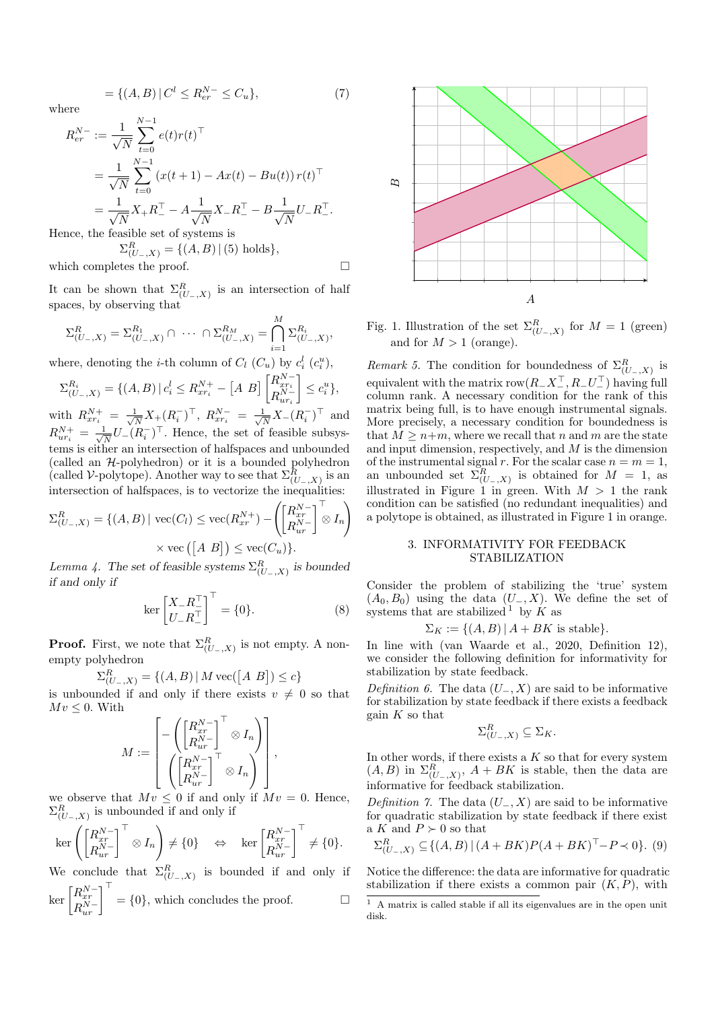$$
= \{(A, B) | C^l \le R_{er}^{N-} \le C_u \},\tag{7}
$$

where

$$
R_{er}^{N-} := \frac{1}{\sqrt{N}} \sum_{t=0}^{N-1} e(t)r(t)^{\top}
$$
  
= 
$$
\frac{1}{\sqrt{N}} \sum_{t=0}^{N-1} (x(t+1) - Ax(t) - Bu(t)) r(t)^{\top}
$$
  
= 
$$
\frac{1}{\sqrt{N}} X_{+} R_{-}^{\top} - A \frac{1}{\sqrt{N}} X_{-} R_{-}^{\top} - B \frac{1}{\sqrt{N}} U_{-} R_{-}^{\top}.
$$
  
Then the feasible set of systems is

Hence, the feasible set of systems is  $\Sigma_{(U_-,X)}^R = \{(A, B) | (5) \text{ holds}\},\$ 

which completes the proof.  $\hfill \square$ 

It can be shown that  $\Sigma_{(U_-,X)}^R$  is an intersection of half spaces, by observing that

$$
\Sigma_{(U_-,X)}^R = \Sigma_{(U_-,X)}^{R_1} \cap \cdots \cap \Sigma_{(U_-,X)}^{R_M} = \bigcap_{i=1}^M \Sigma_{(U_-,X)}^{R_i},
$$

where, denoting the *i*-th column of  $C_l$  ( $C_u$ ) by  $c_i^l$  ( $c_i^u$ ),

$$
\Sigma_{(U_-,X)}^{R_i} = \{ (A,B) \mid c_i^l \le R_{xr_i}^{N+} - [A \ B] \begin{bmatrix} R_{xr_i}^{N-} \\ R_{ur_i}^{N-} \end{bmatrix} \le c_i^u \},
$$

with  $R_{xr_i}^{N+} = \frac{1}{\sqrt{j}}$  $\frac{1}{N}X_{+}(R_{i}^{-})^{\top}$ ,  $R_{xr_{i}}^{N-} = \frac{1}{\sqrt{N}}$  $\frac{1}{\overline{N}}X_{-}(R_{i}^{-})^{\top}$  and  $R_{ur_i}^{N+} = \frac{1}{\sqrt{i}}$  $\frac{1}{N}U_{-}(R_{i}^{-})^{\top}$ . Hence, the set of feasible subsystems is either an intersection of halfspaces and unbounded (called an  $H$ -polyhedron) or it is a bounded polyhedron (called V-polytope). Another way to see that  $\Sigma_{(U_-,X)}^R$  is an intersection of halfspaces, is to vectorize the inequalities:

$$
\Sigma_{(U_-,X)}^R = \{(A,B) \mid \text{vec}(C_l) \le \text{vec}(R_{xr}^{N+}) - \left(\begin{bmatrix} R_{xr}^{N-} \\ R_{ur}^{N-} \end{bmatrix}^\top \otimes I_n\right) \times \text{vec}(\begin{bmatrix} [A \ B] \end{bmatrix}) \le \text{vec}(C_u)\}.
$$

Lemma 4. The set of feasible systems  $\Sigma_{(U_-,X)}^R$  is bounded if and only if

$$
\ker \begin{bmatrix} X_- R_-^{\top} \\ U_- R_-^{\top} \end{bmatrix}^{\top} = \{0\}. \tag{8}
$$

**Proof.** First, we note that  $\Sigma_{(U_-,X)}^R$  is not empty. A nonempty polyhedron

$$
\Sigma_{(U_-,X)}^R = \{(A,B) | M \text{ vec}([A \ B]) \le c\}
$$

is unbounded if and only if there exists  $v \neq 0$  so that  $Mv \leq 0$ . With

$$
M:=\begin{bmatrix}-\left(\begin{bmatrix}R_{xr}^{N-}\cr R_{ur}^{N-}\cr\end{bmatrix}^\top\otimes I_n\right)\\\left(\begin{bmatrix}R_{xr}^{N-}\cr R_{ur}^{N-}\cr\end{bmatrix}^\top\otimes I_n\right)\end{bmatrix},
$$

we observe that  $Mv \leq 0$  if and only if  $Mv = 0$ . Hence,  $\Sigma^R_{(U_-,X)}$  is unbounded if and only if

$$
\ker\left(\begin{bmatrix}R_{xr}^{N-}\\ R_{ur}^{N-}\end{bmatrix}^\top\otimes I_n\right) \neq \{0\} \quad \Leftrightarrow \quad \ker\begin{bmatrix}R_{xr}^{N-}\\ R_{ur}^{N-}\end{bmatrix}^\top \neq \{0\}.
$$

We conclude that  $\Sigma_{(U_-,X)}^R$  is bounded if and only if

$$
\ker \begin{bmatrix} R_{xr}^{N-} \\ R_{ur}^{N-} \end{bmatrix}^{\top} = \{0\},\
$$
 which concludes the proof.



Fig. 1. Illustration of the set  $\Sigma_{(U_-,X)}^R$  for  $M=1$  (green) and for  $M > 1$  (orange).

Remark 5. The condition for boundedness of  $\Sigma_{(U_-,X)}^R$  is equivalent with the matrix  $\text{row}(R_- X_-^{\top}, R_- U_-^{\top})$  having full column rank. A necessary condition for the rank of this matrix being full, is to have enough instrumental signals. More precisely, a necessary condition for boundedness is that  $M \geq n+m$ , where we recall that n and m are the state and input dimension, respectively, and  $M$  is the dimension of the instrumental signal r. For the scalar case  $n = m = 1$ , an unbounded set  $\Sigma_{(U_-,X)}^R$  is obtained for  $M = 1$ , as illustrated in Figure 1 in green. With  $M > 1$  the rank condition can be satisfied (no redundant inequalities) and a polytope is obtained, as illustrated in Figure 1 in orange.

## 3. INFORMATIVITY FOR FEEDBACK STABILIZATION

Consider the problem of stabilizing the 'true' system  $(A_0, B_0)$  using the data  $(U_-, X)$ . We define the set of systems that are stabilized  $\frac{1}{k}$  by  $\overrightarrow{K}$  as

$$
\Sigma_K := \{(A, B) | A + BK \text{ is stable}\}.
$$

In line with (van Waarde et al., 2020, Definition 12), we consider the following definition for informativity for stabilization by state feedback.

Definition 6. The data  $(U_-, X)$  are said to be informative for stabilization by state feedback if there exists a feedback gain  $K$  so that

$$
\Sigma_{(U_-,X)}^R \subseteq \Sigma_K.
$$

In other words, if there exists a  $K$  so that for every system  $(A, B)$  in  $\Sigma_{(U_-, X)}^R$ ,  $A + BK$  is stable, then the data are informative for feedback stabilization.

Definition 7. The data  $(U_-, X)$  are said to be informative for quadratic stabilization by state feedback if there exist a K and  $P \succ 0$  so that

$$
\Sigma_{(U_-,X)}^R \subseteq \{(A,B) \mid (A+BK)P(A+BK)^{\top} - P \prec 0\}. (9)
$$

Notice the difference: the data are informative for quadratic stabilization if there exists a common pair  $(K, P)$ , with

 $1$  A matrix is called stable if all its eigenvalues are in the open unit disk.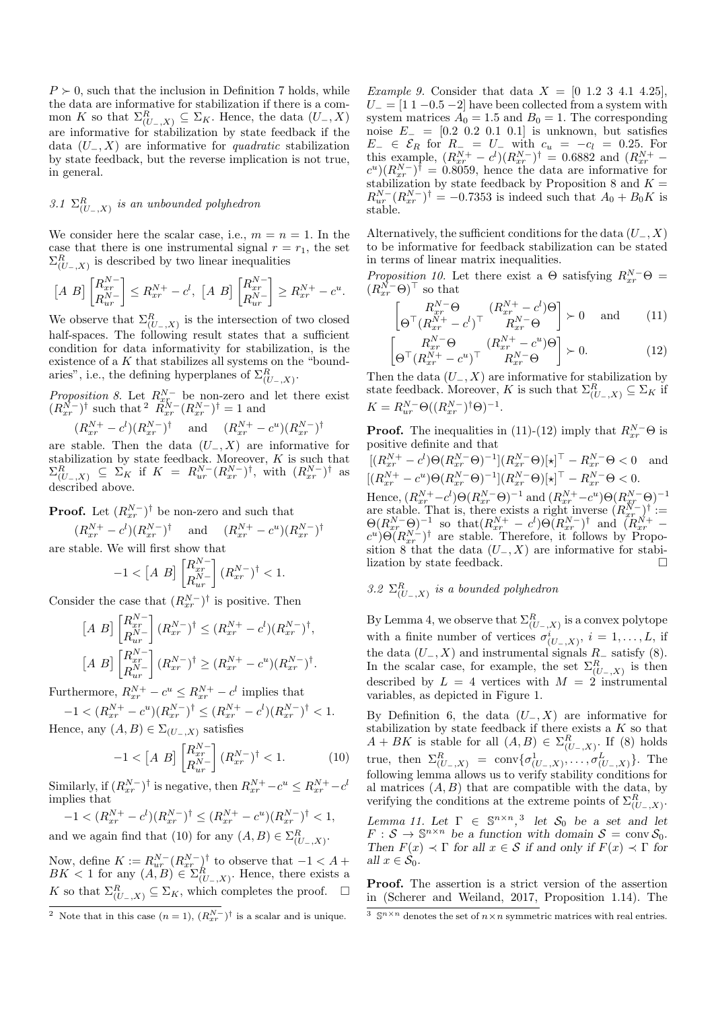$P \geq 0$ , such that the inclusion in Definition 7 holds, while the data are informative for stabilization if there is a common K so that  $\Sigma_{(U_-,X)}^R \subseteq \Sigma_K$ . Hence, the data  $(U_-,X)$ are informative for stabilization by state feedback if the data  $(U_-, X)$  are informative for *quadratic* stabilization by state feedback, but the reverse implication is not true, in general.

# 3.1  $\Sigma_{(U_-,X)}^R$  is an unbounded polyhedron

We consider here the scalar case, i.e.,  $m = n = 1$ . In the case that there is one instrumental signal  $r = r_1$ , the set  $\Sigma_{(U_-,X)}^R$  is described by two linear inequalities

$$
\begin{bmatrix} A & B \end{bmatrix} \begin{bmatrix} R_{xr}^{N-} \\ R_{ur}^{N-} \end{bmatrix} \leq R_{xr}^{N+} - c^l, \ [A \ B] \begin{bmatrix} R_{xr}^{N-} \\ R_{ur}^{N-} \end{bmatrix} \geq R_{xr}^{N+} - c^u.
$$

We observe that  $\Sigma_{(U_-,X)}^R$  is the intersection of two closed half-spaces. The following result states that a sufficient condition for data informativity for stabilization, is the existence of a  $K$  that stabilizes all systems on the "boundaries", i.e., the defining hyperplanes of  $\Sigma_{(U_-,X)}^R$ .

*Proposition 8*. Let  $R_{x}^{N-}$  be non-zero and let there exist  $(R_{xr}^{\overline{N}-})^{\dagger}$  such that  $^2$   $\overline{R}_{xr}^{\overline{N}-}(R_{xr}^{\overline{N}-})^{\dagger} = 1$  and

$$
(R_{xr}^{N+} - c^l)(R_{xr}^{N-})^{\dagger} \quad \text{and} \quad (R_{xr}^{N+} - c^u)(R_{xr}^{N-})^{\dagger}
$$

are stable. Then the data  $(U_-, X)$  are informative for stabilization by state feedback. Moreover,  $K$  is such that  $\Sigma_{(U_-,X)}^R \subseteq \Sigma_K$  if  $K = R_{ur}^{N-}(R_{xr}^{N-})^{\dagger}$ , with  $(R_{xr}^{N-})^{\dagger}$  as described above.

**Proof.** Let  $(R_{xr}^{N-})^{\dagger}$  be non-zero and such that

$$
(R_{xr}^{N+} - c^l)(R_{xr}^{N-})^{\dagger}
$$
 and  $(R_{xr}^{N+} - c^u)(R_{xr}^{N-})^{\dagger}$   
are stable. We will first show that

 $-1 < [A \ B] \begin{bmatrix} R_{xr}^{N-1} \\ R_{xr}^{N-1} \end{bmatrix}$  $\begin{bmatrix} R_{xr}^{N-} \ R_{ur}^{N-} \end{bmatrix} (R_{xr}^{N-})^{\dagger} < 1.$ 

Consider the case that  $(R_{xr}^{N-})^{\dagger}$  is positive. Then

$$
[A \ B] \begin{bmatrix} R_{xr}^{N-} \\ R_{ur}^{N-} \end{bmatrix} (R_{xr}^{N-})^{\dagger} \le (R_{xr}^{N+} - c^l)(R_{xr}^{N-})^{\dagger},
$$
  
\n
$$
[A \ B] \begin{bmatrix} R_{xr}^{N-} \\ R_{ur}^{N-} \end{bmatrix} (R_{xr}^{N-})^{\dagger} \ge (R_{xr}^{N+} - c^u)(R_{xr}^{N-})^{\dagger}.
$$

Furthermore,  $R_{xr}^{N+} - c^u \leq R_{xr}^{N+} - c^l$  implies that

 $-1 < (R_{xr}^{N+} - c^u)(R_{xr}^{N-})^{\dagger} \leq (R_{xr}^{N+} - c^l)(R_{xr}^{N-})^{\dagger} < 1.$ Hence, any  $(A, B) \in \Sigma_{(U_-, X)}$  satisfies

$$
-1 < [A \ B] \begin{bmatrix} R_{xr}^{N-} \\ R_{ur}^{N-} \end{bmatrix} (R_{xr}^{N-})^{\dagger} < 1.
$$
 (10)

Similarly, if  $(R_{xr}^{N-})^{\dagger}$  is negative, then  $R_{xr}^{N+} - c^u \leq R_{xr}^{N+} - c^l$ implies that

$$
-1 < (R_{xr}^{N+} - c^l)(R_{xr}^{N-})^{\dagger} \le (R_{xr}^{N+} - c^u)(R_{xr}^{N-})^{\dagger} < 1,
$$
  
and we again find that (10) for any  $(A, B) \in \Sigma_{(U_-, X)}^R$ .

Now, define  $K := R_{ur}^{N-}(R_{xr}^{N-})^{\dagger}$  to observe that  $-1 < A +$ 

BK < 1 for any  $(A, B) \in \Sigma_{(U_-, X)}^R$ . Hence, there exists a K so that  $\Sigma_{(U_-,X)}^R \subseteq \Sigma_K$ , which completes the proof.  $\Box$ 

*Example 9.* Consider that data  $X = [0 \ 1.2 \ 3 \ 4.1 \ 4.25]$ ,  $U_ = [1 1 - 0.5 - 2]$  have been collected from a system with system matrices  $A_0 = 1.5$  and  $B_0 = 1$ . The corresponding noise  $E_ = [0.2 \ 0.2 \ 0.1 \ 0.1]$  is unknown, but satisfies  $E_-\in\mathcal{E}_R$  for  $R_-\equiv U_-\,$  with  $c_u = -c_l = 0.25$ . For this example,  $(R_{xr}^{N+} - c^l)(R_{xr}^{N-})^{\dagger} = 0.6882$  and  $(R_{xr}^{N+} - c^l)(R_{xr}^{N-})^{\dagger} = 0.6882$  $(c^u)(R_{xr}^N)^{\dagger} = 0.8059$ , hence the data are informative for stabilization by state feedback by Proposition 8 and  $K =$  $R_{ur}^{N-}(R_{xr}^{N-})^{\dagger} = -0.7353$  is indeed such that  $A_0 + B_0K$  is stable.

Alternatively, the sufficient conditions for the data  $(U_-, X)$ to be informative for feedback stabilization can be stated in terms of linear matrix inequalities.

Proposition 10. Let there exist a  $\Theta$  satisfying  $R_{xr}^{N-}\Theta =$  $(R_{xr}^{\bar{N}-}\Theta)^{\top}$  so that

$$
\begin{bmatrix} R_{xr}^{N-} \Theta & (R_{xr}^{N+} - c^l) \Theta \\ \Theta^{\top} (R_{xr}^{N+} - c^l)^{\top} & R_{xr}^{N-} \Theta \end{bmatrix} \succ 0 \quad \text{and} \quad (11)
$$

$$
\begin{bmatrix} R_{xr}^{N-}\Theta & (R_{xr}^{N+}-c^u)\Theta\\ \Theta^{\top}(R_{xr}^{N+}-c^u)^{\top} & R_{xr}^{N-}\Theta \end{bmatrix} \succ 0.
$$
 (12)

Then the data  $(U_-, X)$  are informative for stabilization by state feedback. Moreover, K is such that  $\Sigma_{(U_-,X)}^R \subseteq \Sigma_K$  if  $K = R_{ur}^{N-\Theta}((R_{xr}^{N-})^{\dagger}\Theta)^{-1}.$ 

**Proof.** The inequalities in (11)-(12) imply that  $R_{xr}^{N-\Theta}$  is positive definite and that

$$
\begin{aligned} & [(R_{xr}^{N+}-c^l)\Theta(R_{xr}^{N-}\Theta)^{-1}](R_{xr}^{N-}\Theta)[\star]^{\top}-R_{xr}^{N-}\Theta<0 \text{ and } \\ & [(R_{xr}^{N+}-c^u)\Theta(R_{xr}^{N-}\Theta)^{-1}](R_{xr}^{N-}\Theta)[\star]^{\top}-R_{xr}^{N-}\Theta<0. \end{aligned}
$$

Hence,  $(R_{xr}^{N+}-c^l)\Theta(R_{xr}^{N-}\Theta)^{-1}$  and  $(R_{xr}^{N+}-c^u)\Theta(R_{xr}^{N-}\Theta)^{-1}$ are stable. That is, there exists a right inverse  $(R_{xr}^{N-})^{\dagger}$ :=  $\Theta(R_{xr}^{N-}\Theta)^{-1}$  so that  $(R_{xr}^{N+}-c^l)\Theta(R_{xr}^{N-})^{\dagger}$  and  $(R_{xr}^{N+}-c^l)\Theta(R_{xr}^{N-})$  $(c^u) \Theta(R_{xr}^{N-})^{\dagger}$  are stable. Therefore, it follows by Proposition 8 that the data  $(U_-, X)$  are informative for stabilization by state feedback.

3.2  $\Sigma_{(U_-,X)}^R$  is a bounded polyhedron

By Lemma 4, we observe that  $\Sigma_{(U_-,X)}^R$  is a convex polytope with a finite number of vertices  $\sigma^i_{(U_-,X)}$ ,  $i=1,\ldots,L$ , if the data  $(U_-, X)$  and instrumental signals  $R_$ <sub>−</sub> satisfy (8). In the scalar case, for example, the set  $\Sigma_{(U_-,X)}^R$  is then described by  $L = 4$  vertices with  $M = 2$  instrumental variables, as depicted in Figure 1.

By Definition 6, the data  $(U_-, X)$  are informative for stabilization by state feedback if there exists a  $K$  so that  $A + BK$  is stable for all  $(A, B) \in \Sigma_{(U_-, X)}^R$ . If (8) holds true, then  $\Sigma_{(U_-,X)}^R = \text{conv}\{\sigma_{(U_-,X)}^1,\ldots,\sigma_{(U_-,X)}^L\}$ . The following lemma allows us to verify stability conditions for al matrices  $(A, B)$  that are compatible with the data, by verifying the conditions at the extreme points of  $\Sigma_{(U_-,X)}^R$ . Lemma 11. Let  $\Gamma \in \mathbb{S}^{n \times n}$ ,<sup>3</sup> let  $S_0$  be a set and let  $F: \mathcal{S} \to \mathbb{S}^{n \times n}$  be a function with domain  $\mathcal{S} = \text{conv } \mathcal{S}_0$ . Then  $F(x) \prec \Gamma$  for all  $x \in S$  if and only if  $F(x) \prec \Gamma$  for all  $x \in \mathcal{S}_0$ .

Proof. The assertion is a strict version of the assertion in (Scherer and Weiland, 2017, Proposition 1.14). The

<sup>&</sup>lt;sup>2</sup> Note that in this case  $(n = 1)$ ,  $(R_{xr}^{N-})^{\dagger}$  is a scalar and is unique.

<sup>&</sup>lt;sup>3</sup>  $\mathbb{S}^{n \times n}$  denotes the set of  $n \times n$  symmetric matrices with real entries.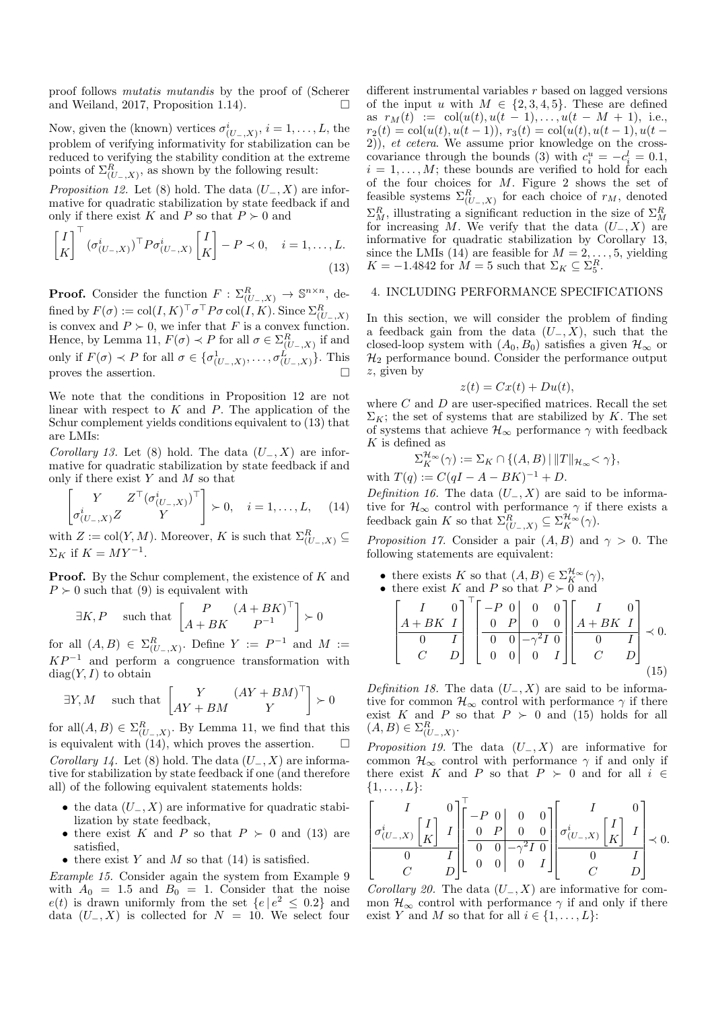proof follows mutatis mutandis by the proof of (Scherer and Weiland, 2017, Proposition 1.14).  $\Box$ 

Now, given the (known) vertices  $\sigma_{(U_-,X)}^i$ ,  $i=1,\ldots,L$ , the problem of verifying informativity for stabilization can be reduced to verifying the stability condition at the extreme points of  $\Sigma_{(U_-,X)}^R$ , as shown by the following result:

*Proposition 12.* Let (8) hold. The data  $(U_-, X)$  are informative for quadratic stabilization by state feedback if and only if there exist K and P so that  $P \succ 0$  and

$$
\begin{bmatrix} I \\ K \end{bmatrix}^{\top} (\sigma_{(U_-,X)}^i)^{\top} P \sigma_{(U_-,X)}^i \begin{bmatrix} I \\ K \end{bmatrix} - P \prec 0, \quad i = 1, \dots, L.
$$
\n(13)

**Proof.** Consider the function  $F: \Sigma_{(U_-,X)}^R \to \mathbb{S}^{n \times n}$ , defined by  $F(\sigma) := \text{col}(I,K)^\top \sigma^\top P \sigma\, \text{col}(I,K) .$  Since  $\Sigma^R_{(U_-,X)}$ is convex and  $P \succ 0$ , we infer that F is a convex function. Hence, by Lemma 11,  $F(\sigma) \prec P$  for all  $\sigma \in \Sigma_{(U_-,X)}^R$  if and only if  $F(\sigma) \prec P$  for all  $\sigma \in {\{\sigma_{(U_-,X)}^1,\ldots,\sigma_{(U_-,X)}^L\}}$ . This proves the assertion.  $\hfill \square$ 

We note that the conditions in Proposition 12 are not linear with respect to  $K$  and  $P$ . The application of the Schur complement yields conditions equivalent to (13) that are LMIs:

Corollary 13. Let (8) hold. The data  $(U_-, X)$  are informative for quadratic stabilization by state feedback if and only if there exist  $Y$  and  $M$  so that

$$
\begin{bmatrix} Y & Z^{\top}(\sigma_{(U_{-},X)}^{i})^{\top} \\ \sigma_{(U_{-},X)}^{i}Z & Y \end{bmatrix} \succ 0, \quad i = 1,\ldots,L, \quad (14)
$$

with  $Z := col(Y, M)$ . Moreover, K is such that  $\Sigma_{(U_-, X)}^R \subseteq$  $\Sigma_K$  if  $K = MY^{-1}$ .

**Proof.** By the Schur complement, the existence of  $K$  and  $P \succ 0$  such that (9) is equivalent with

$$
\exists K, P
$$
 such that  $\begin{bmatrix} P & (A+BK)^{\top} \\ A+BK & P^{-1} \end{bmatrix} \succ 0$ 

for all  $(A, B) \in \Sigma_{(U_-, X)}^R$ . Define  $Y := P^{-1}$  and  $M :=$  $KP^{-1}$  and perform a congruence transformation with  $diag(Y, I)$  to obtain

$$
\exists Y, M
$$
 such that  $\begin{bmatrix} Y & (AY + BM)^{\top} \\ AY + BM & Y \end{bmatrix} \succ 0$ 

for all $(A, B) \in \Sigma_{(U_-, X)}^R$ . By Lemma 11, we find that this is equivalent with (14), which proves the assertion. Corollary 14. Let (8) hold. The data  $(U_-, X)$  are informative for stabilization by state feedback if one (and therefore all) of the following equivalent statements holds:

- the data  $(U_-, X)$  are informative for quadratic stabilization by state feedback,
- there exist K and P so that  $P \succ 0$  and (13) are satisfied,
- there exist Y and M so that  $(14)$  is satisfied.

Example 15. Consider again the system from Example 9 with  $A_0 = 1.5$  and  $B_0 = 1$ . Consider that the noise  $e(t)$  is drawn uniformly from the set  $\{e \mid e^2 \leq 0.2\}$  and data  $(U_-, X)$  is collected for  $N = 10$ . We select four different instrumental variables r based on lagged versions of the input u with  $M \in \{2, 3, 4, 5\}$ . These are defined as  $r_M(t) := \text{col}(u(t), u(t-1), \ldots, u(t-M+1), \text{ i.e.,})$  $r_2(t) = \text{col}(u(t), u(t-1)), r_3(t) = \text{col}(u(t), u(t-1), u(t-1))$ 2)), et cetera. We assume prior knowledge on the crosscovariance through the bounds (3) with  $c_i^u = -c_i^l = 0.1$ ,  $i = 1, \ldots, M$ ; these bounds are verified to hold for each of the four choices for M. Figure 2 shows the set of feasible systems  $\Sigma_{(U_-,X)}^R$  for each choice of  $r_M$ , denoted  $\Sigma_M^R$ , illustrating a significant reduction in the size of  $\Sigma_M^R$ for increasing M. We verify that the data  $(U_-, X)$  are informative for quadratic stabilization by Corollary 13, since the LMIs (14) are feasible for  $M = 2, \ldots, 5$ , yielding  $K = -1.4842$  for  $\dot{M} = 5$  such that  $\Sigma_K \subseteq \Sigma_5^R$ .

### 4. INCLUDING PERFORMANCE SPECIFICATIONS

In this section, we will consider the problem of finding a feedback gain from the data  $(U_-, X)$ , such that the closed-loop system with  $(A_0, B_0)$  satisfies a given  $\mathcal{H}_{\infty}$  or  $\mathcal{H}_2$  performance bound. Consider the performance output z, given by

$$
z(t) = Cx(t) + Du(t),
$$

where  $C$  and  $D$  are user-specified matrices. Recall the set  $\Sigma_K$ ; the set of systems that are stabilized by K. The set of systems that achieve  $\mathcal{H}_{\infty}$  performance  $\gamma$  with feedback  $K$  is defined as

$$
\Sigma_K^{\mathcal{H}_{\infty}}(\gamma) := \Sigma_K \cap \{ (A, B) \mid ||T||_{\mathcal{H}_{\infty}} < \gamma \},
$$

with  $T(q) := C(qI - A - BK)^{-1} + D$ .

Definition 16. The data  $(U_-, X)$  are said to be informative for  $\mathcal{H}_{\infty}$  control with performance  $\gamma$  if there exists a feedback gain K so that  $\Sigma_{(U_-,X)}^R \subseteq \Sigma_K^{\mathcal{H}_\infty}(\gamma)$ .

*Proposition 17.* Consider a pair  $(A, B)$  and  $\gamma > 0$ . The following statements are equivalent:

- there exists K so that  $(A, B) \in \Sigma_K^{\mathcal{H}_\infty}(\gamma)$ ,
- there exist K and P so that  $P \succ 0$  and

$$
\begin{bmatrix} I & 0 \ A + BK & I \ 0 & I \ C & D \end{bmatrix}^T \begin{bmatrix} -P & 0 & 0 & 0 \ 0 & P & 0 & 0 \ 0 & 0 & -\gamma^2 I & 0 \ 0 & 0 & 0 & I \end{bmatrix} \begin{bmatrix} I & 0 \ A + BK & I \ 0 & I \ C & D \end{bmatrix} \prec 0.
$$
\n(15)

Definition 18. The data  $(U_-, X)$  are said to be informative for common  $\mathcal{H}_{\infty}$  control with performance  $\gamma$  if there exist K and P so that  $P \succ 0$  and (15) holds for all  $(A, B) \in \Sigma_{(U_-, X)}^R$ .

*Proposition 19.* The data  $(U_-, X)$  are informative for common  $\mathcal{H}_{\infty}$  control with performance  $\gamma$  if and only if there exist K and P so that  $P \succ 0$  and for all  $i \in$  $\{1, \ldots, L\}$ :

$$
\left[ \begin{matrix} I & 0 \\ \sigma^i_{(U_-,X)} \begin{bmatrix} I \\ K \end{bmatrix} & I \\ \hline 0 & I \\ C & D \end{matrix} \right] \left[ \begin{matrix} -P & 0 & 0 & 0 \\ 0 & P & 0 & 0 \\ \hline 0 & 0 & -\gamma^2 I & 0 \\ 0 & 0 & 0 & I \end{matrix} \right] \left[ \begin{matrix} I & 0 \\ \sigma^i_{(U_-,X)} \begin{bmatrix} I \\ K \end{bmatrix} & I \\ \hline 0 & I \\ C & D \end{matrix} \right] \prec 0.
$$

Corollary 20. The data  $(U_-, X)$  are informative for common  $\mathcal{H}_{\infty}$  control with performance  $\gamma$  if and only if there exist Y and M so that for all  $i \in \{1, \ldots, L\}$ :